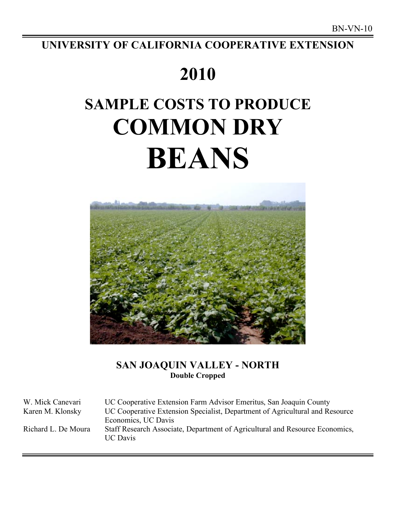## **UNIVERSITY OF CALIFORNIA COOPERATIVE EXTENSION**

## **2010**

# **SAMPLE COSTS TO PRODUCE COMMON DRY BEANS**



## **SAN JOAQUIN VALLEY - NORTH Double Cropped**

W. Mick Canevari UC Cooperative Extension Farm Advisor Emeritus, San Joaquin County Karen M. Klonsky UC Cooperative Extension Specialist, Department of Agricultural and Resource Economics, UC Davis Richard L. De Moura Staff Research Associate, Department of Agricultural and Resource Economics, UC Davis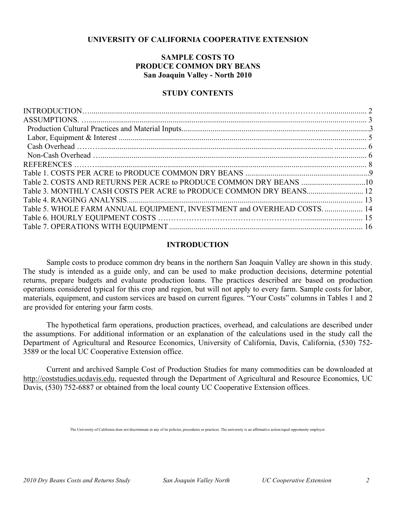## **UNIVERSITY OF CALIFORNIA COOPERATIVE EXTENSION**

## **SAMPLE COSTS TO PRODUCE COMMON DRY BEANS San Joaquin Valley - North 2010**

## **STUDY CONTENTS**

| Table 5. WHOLE FARM ANNUAL EQUIPMENT, INVESTMENT and OVERHEAD COSTS 14 |  |
|------------------------------------------------------------------------|--|
|                                                                        |  |
|                                                                        |  |

## **INTRODUCTION**

Sample costs to produce common dry beans in the northern San Joaquin Valley are shown in this study. The study is intended as a guide only, and can be used to make production decisions, determine potential returns, prepare budgets and evaluate production loans. The practices described are based on production operations considered typical for this crop and region, but will not apply to every farm. Sample costs for labor, materials, equipment, and custom services are based on current figures. "Your Costs" columns in Tables 1 and 2 are provided for entering your farm costs.

The hypothetical farm operations, production practices, overhead, and calculations are described under the assumptions. For additional information or an explanation of the calculations used in the study call the Department of Agricultural and Resource Economics, University of California, Davis, California, (530) 752- 3589 or the local UC Cooperative Extension office.

Current and archived Sample Cost of Production Studies for many commodities can be downloaded at http://coststudies.ucdavis.edu, requested through the Department of Agricultural and Resource Economics, UC Davis, (530) 752-6887 or obtained from the local county UC Cooperative Extension offices.

The University of California does not discriminate in any of its policies, procedures or practices. The university is an affirmative action/equal opportunity employer.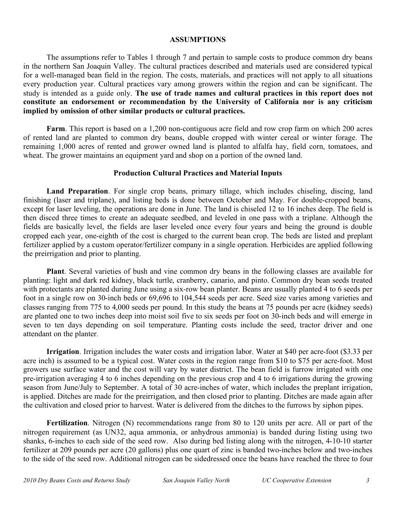## **ASSUMPTIONS**

The assumptions refer to Tables 1 through 7 and pertain to sample costs to produce common dry beans in the northern San Joaquin Valley. The cultural practices described and materials used are considered typical for a well-managed bean field in the region. The costs, materials, and practices will not apply to all situations every production year. Cultural practices vary among growers within the region and can be significant. The study is intended as a guide only. **The use of trade names and cultural practices in this report does not constitute an endorsement or recommendation by the University of California nor is any criticism implied by omission of other similar products or cultural practices.** 

**Farm**. This report is based on a 1,200 non-contiguous acre field and row crop farm on which 200 acres of rented land are planted to common dry beans, double cropped with winter cereal or winter forage. The remaining 1,000 acres of rented and grower owned land is planted to alfalfa hay, field corn, tomatoes, and wheat. The grower maintains an equipment yard and shop on a portion of the owned land.

## **Production Cultural Practices and Material Inputs**

**Land Preparation**. For single crop beans, primary tillage, which includes chiseling, discing, land finishing (laser and triplane), and listing beds is done between October and May. For double-cropped beans, except for laser leveling, the operations are done in June. The land is chiseled 12 to 16 inches deep. The field is then disced three times to create an adequate seedbed, and leveled in one pass with a triplane. Although the fields are basically level, the fields are laser leveled once every four years and being the ground is double cropped each year, one-eighth of the cost is charged to the current bean crop. The beds are listed and preplant fertilizer applied by a custom operator/fertilizer company in a single operation. Herbicides are applied following the preirrigation and prior to planting.

**Plant**. Several varieties of bush and vine common dry beans in the following classes are available for planting: light and dark red kidney, black turtle, cranberry, canario, and pinto. Common dry bean seeds treated with protectants are planted during June using a six-row bean planter. Beans are usually planted 4 to 6 seeds per foot in a single row on 30-inch beds or 69,696 to 104,544 seeds per acre. Seed size varies among varieties and classes ranging from 775 to 4,000 seeds per pound. In this study the beans at 75 pounds per acre (kidney seeds) are planted one to two inches deep into moist soil five to six seeds per foot on 30-inch beds and will emerge in seven to ten days depending on soil temperature. Planting costs include the seed, tractor driver and one attendant on the planter.

**Irrigation**. Irrigation includes the water costs and irrigation labor. Water at \$40 per acre-foot (\$3.33 per acre inch) is assumed to be a typical cost. Water costs in the region range from \$10 to \$75 per acre-foot. Most growers use surface water and the cost will vary by water district. The bean field is furrow irrigated with one pre-irrigation averaging 4 to 6 inches depending on the previous crop and 4 to 6 irrigations during the growing season from June/July to September. A total of 30 acre-inches of water, which includes the preplant irrigation, is applied. Ditches are made for the preirrigation, and then closed prior to planting. Ditches are made again after the cultivation and closed prior to harvest. Water is delivered from the ditches to the furrows by siphon pipes.

**Fertilization**. Nitrogen (N) recommendations range from 80 to 120 units per acre. All or part of the nitrogen requirement (as UN32, aqua ammonia, or anhydrous ammonia) is banded during listing using two shanks, 6-inches to each side of the seed row. Also during bed listing along with the nitrogen, 4-10-10 starter fertilizer at 209 pounds per acre (20 gallons) plus one quart of zinc is banded two-inches below and two-inches to the side of the seed row. Additional nitrogen can be sidedressed once the beans have reached the three to four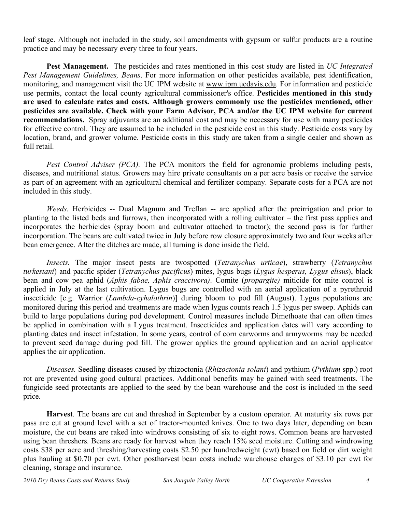leaf stage. Although not included in the study, soil amendments with gypsum or sulfur products are a routine practice and may be necessary every three to four years.

**Pest Management.** The pesticides and rates mentioned in this cost study are listed in *UC Integrated Pest Management Guidelines, Beans*. For more information on other pesticides available, pest identification, monitoring, and management visit the UC IPM website at www.ipm.ucdavis.edu. For information and pesticide use permits, contact the local county agricultural commissioner's office. **Pesticides mentioned in this study are used to calculate rates and costs. Although growers commonly use the pesticides mentioned, other pesticides are available. Check with your Farm Advisor, PCA and/or the UC IPM website for current recommendations.** Spray adjuvants are an additional cost and may be necessary for use with many pesticides for effective control. They are assumed to be included in the pesticide cost in this study. Pesticide costs vary by location, brand, and grower volume. Pesticide costs in this study are taken from a single dealer and shown as full retail.

*Pest Control Adviser (PCA).* The PCA monitors the field for agronomic problems including pests, diseases, and nutritional status. Growers may hire private consultants on a per acre basis or receive the service as part of an agreement with an agricultural chemical and fertilizer company. Separate costs for a PCA are not included in this study.

*Weeds*. Herbicides -- Dual Magnum and Treflan -- are applied after the preirrigation and prior to planting to the listed beds and furrows, then incorporated with a rolling cultivator – the first pass applies and incorporates the herbicides (spray boom and cultivator attached to tractor); the second pass is for further incorporation. The beans are cultivated twice in July before row closure approximately two and four weeks after bean emergence. After the ditches are made, all turning is done inside the field.

*Insects.* The major insect pests are twospotted (*Tetranychus urticae*), strawberry (*Tetranychus turkestani*) and pacific spider (*Tetranychus pacificus*) mites, lygus bugs (*Lygus hesperus, Lygus elisus*), black bean and cow pea aphid (*Aphis fabae, Aphis craccivora)*. Comite (*propargite)* miticide for mite control is applied in July at the last cultivation. Lygus bugs are controlled with an aerial application of a pyrethroid insecticide [e.g. Warrior (*Lambda-cyhalothrin*)] during bloom to pod fill (August). Lygus populations are monitored during this period and treatments are made when lygus counts reach 1.5 lygus per sweep. Aphids can build to large populations during pod development. Control measures include Dimethoate that can often times be applied in combination with a Lygus treatment. Insecticides and application dates will vary according to planting dates and insect infestation. In some years, control of corn earworms and armyworms may be needed to prevent seed damage during pod fill. The grower applies the ground application and an aerial applicator applies the air application.

*Diseases.* Seedling diseases caused by rhizoctonia (*Rhizoctonia solani*) and pythium (*Pythium* spp.) root rot are prevented using good cultural practices. Additional benefits may be gained with seed treatments. The fungicide seed protectants are applied to the seed by the bean warehouse and the cost is included in the seed price.

**Harvest**. The beans are cut and threshed in September by a custom operator. At maturity six rows per pass are cut at ground level with a set of tractor-mounted knives. One to two days later, depending on bean moisture, the cut beans are raked into windrows consisting of six to eight rows. Common beans are harvested using bean threshers. Beans are ready for harvest when they reach 15% seed moisture. Cutting and windrowing costs \$38 per acre and threshing/harvesting costs \$2.50 per hundredweight (cwt) based on field or dirt weight plus hauling at \$0.70 per cwt. Other postharvest bean costs include warehouse charges of \$3.10 per cwt for cleaning, storage and insurance.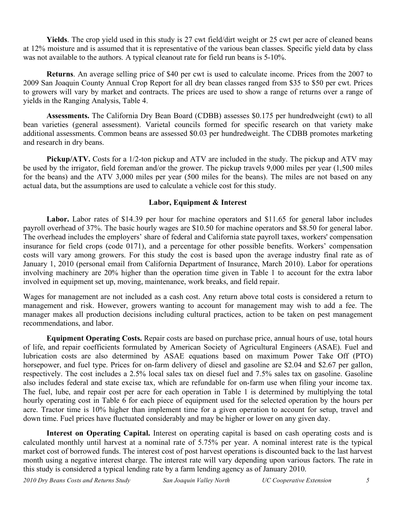**Yields**. The crop yield used in this study is 27 cwt field/dirt weight or 25 cwt per acre of cleaned beans at 12% moisture and is assumed that it is representative of the various bean classes. Specific yield data by class was not available to the authors. A typical cleanout rate for field run beans is 5-10%.

**Returns**. An average selling price of \$40 per cwt is used to calculate income. Prices from the 2007 to 2009 San Joaquin County Annual Crop Report for all dry bean classes ranged from \$35 to \$50 per cwt. Prices to growers will vary by market and contracts. The prices are used to show a range of returns over a range of yields in the Ranging Analysis, Table 4.

**Assessments.** The California Dry Bean Board (CDBB) assesses \$0.175 per hundredweight (cwt) to all bean varieties (general assessment). Varietal councils formed for specific research on that variety make additional assessments. Common beans are assessed \$0.03 per hundredweight. The CDBB promotes marketing and research in dry beans.

**Pickup/ATV.** Costs for a 1/2-ton pickup and ATV are included in the study. The pickup and ATV may be used by the irrigator, field foreman and/or the grower. The pickup travels 9,000 miles per year (1,500 miles for the beans) and the ATV 3,000 miles per year (500 miles for the beans). The miles are not based on any actual data, but the assumptions are used to calculate a vehicle cost for this study.

## **Labor, Equipment & Interest**

Labor. Labor rates of \$14.39 per hour for machine operators and \$11.65 for general labor includes payroll overhead of 37%. The basic hourly wages are \$10.50 for machine operators and \$8.50 for general labor. The overhead includes the employers' share of federal and California state payroll taxes, workers' compensation insurance for field crops (code 0171), and a percentage for other possible benefits. Workers' compensation costs will vary among growers. For this study the cost is based upon the average industry final rate as of January 1, 2010 (personal email from California Department of Insurance, March 2010). Labor for operations involving machinery are 20% higher than the operation time given in Table 1 to account for the extra labor involved in equipment set up, moving, maintenance, work breaks, and field repair.

Wages for management are not included as a cash cost. Any return above total costs is considered a return to management and risk. However, growers wanting to account for management may wish to add a fee. The manager makes all production decisions including cultural practices, action to be taken on pest management recommendations, and labor.

**Equipment Operating Costs.** Repair costs are based on purchase price, annual hours of use, total hours of life, and repair coefficients formulated by American Society of Agricultural Engineers (ASAE). Fuel and lubrication costs are also determined by ASAE equations based on maximum Power Take Off (PTO) horsepower, and fuel type. Prices for on-farm delivery of diesel and gasoline are \$2.04 and \$2.67 per gallon, respectively. The cost includes a 2.5% local sales tax on diesel fuel and 7.5% sales tax on gasoline. Gasoline also includes federal and state excise tax, which are refundable for on-farm use when filing your income tax. The fuel, lube, and repair cost per acre for each operation in Table 1 is determined by multiplying the total hourly operating cost in Table 6 for each piece of equipment used for the selected operation by the hours per acre. Tractor time is 10% higher than implement time for a given operation to account for setup, travel and down time. Fuel prices have fluctuated considerably and may be higher or lower on any given day.

**Interest on Operating Capital.** Interest on operating capital is based on cash operating costs and is calculated monthly until harvest at a nominal rate of 5.75% per year. A nominal interest rate is the typical market cost of borrowed funds. The interest cost of post harvest operations is discounted back to the last harvest month using a negative interest charge. The interest rate will vary depending upon various factors. The rate in this study is considered a typical lending rate by a farm lending agency as of January 2010.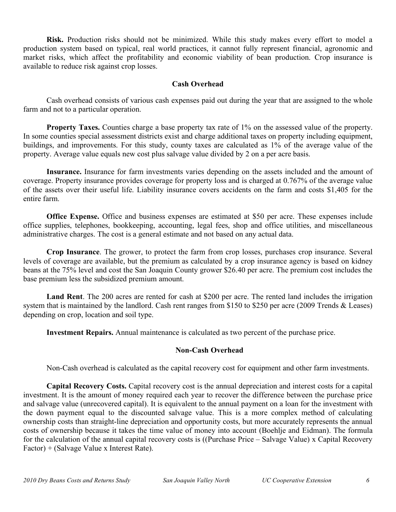**Risk.** Production risks should not be minimized. While this study makes every effort to model a production system based on typical, real world practices, it cannot fully represent financial, agronomic and market risks, which affect the profitability and economic viability of bean production. Crop insurance is available to reduce risk against crop losses.

## **Cash Overhead**

Cash overhead consists of various cash expenses paid out during the year that are assigned to the whole farm and not to a particular operation.

**Property Taxes.** Counties charge a base property tax rate of 1% on the assessed value of the property. In some counties special assessment districts exist and charge additional taxes on property including equipment, buildings, and improvements. For this study, county taxes are calculated as 1% of the average value of the property. Average value equals new cost plus salvage value divided by 2 on a per acre basis.

**Insurance.** Insurance for farm investments varies depending on the assets included and the amount of coverage. Property insurance provides coverage for property loss and is charged at 0.767% of the average value of the assets over their useful life. Liability insurance covers accidents on the farm and costs \$1,405 for the entire farm.

**Office Expense.** Office and business expenses are estimated at \$50 per acre. These expenses include office supplies, telephones, bookkeeping, accounting, legal fees, shop and office utilities, and miscellaneous administrative charges. The cost is a general estimate and not based on any actual data.

**Crop Insurance**. The grower, to protect the farm from crop losses, purchases crop insurance. Several levels of coverage are available, but the premium as calculated by a crop insurance agency is based on kidney beans at the 75% level and cost the San Joaquin County grower \$26.40 per acre. The premium cost includes the base premium less the subsidized premium amount.

**Land Rent**. The 200 acres are rented for cash at \$200 per acre. The rented land includes the irrigation system that is maintained by the landlord. Cash rent ranges from \$150 to \$250 per acre (2009 Trends & Leases) depending on crop, location and soil type.

**Investment Repairs.** Annual maintenance is calculated as two percent of the purchase price.

## **Non-Cash Overhead**

Non-Cash overhead is calculated as the capital recovery cost for equipment and other farm investments.

**Capital Recovery Costs.** Capital recovery cost is the annual depreciation and interest costs for a capital investment. It is the amount of money required each year to recover the difference between the purchase price and salvage value (unrecovered capital). It is equivalent to the annual payment on a loan for the investment with the down payment equal to the discounted salvage value. This is a more complex method of calculating ownership costs than straight-line depreciation and opportunity costs, but more accurately represents the annual costs of ownership because it takes the time value of money into account (Boehlje and Eidman). The formula for the calculation of the annual capital recovery costs is ((Purchase Price – Salvage Value) x Capital Recovery Factor) + (Salvage Value x Interest Rate).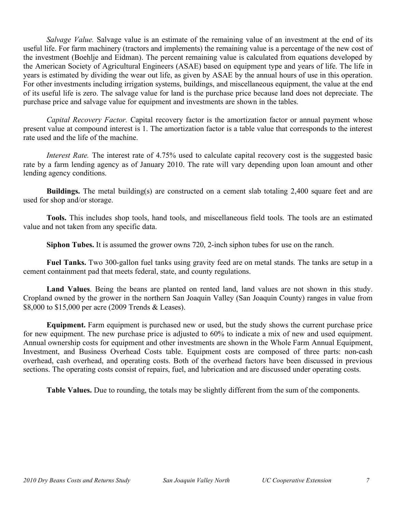*Salvage Value.* Salvage value is an estimate of the remaining value of an investment at the end of its useful life. For farm machinery (tractors and implements) the remaining value is a percentage of the new cost of the investment (Boehlje and Eidman). The percent remaining value is calculated from equations developed by the American Society of Agricultural Engineers (ASAE) based on equipment type and years of life. The life in years is estimated by dividing the wear out life, as given by ASAE by the annual hours of use in this operation. For other investments including irrigation systems, buildings, and miscellaneous equipment, the value at the end of its useful life is zero. The salvage value for land is the purchase price because land does not depreciate. The purchase price and salvage value for equipment and investments are shown in the tables.

*Capital Recovery Factor.* Capital recovery factor is the amortization factor or annual payment whose present value at compound interest is 1. The amortization factor is a table value that corresponds to the interest rate used and the life of the machine.

*Interest Rate.* The interest rate of 4.75% used to calculate capital recovery cost is the suggested basic rate by a farm lending agency as of January 2010. The rate will vary depending upon loan amount and other lending agency conditions.

**Buildings.** The metal building(s) are constructed on a cement slab totaling 2,400 square feet and are used for shop and/or storage.

**Tools.** This includes shop tools, hand tools, and miscellaneous field tools. The tools are an estimated value and not taken from any specific data.

**Siphon Tubes.** It is assumed the grower owns 720, 2-inch siphon tubes for use on the ranch.

**Fuel Tanks.** Two 300-gallon fuel tanks using gravity feed are on metal stands. The tanks are setup in a cement containment pad that meets federal, state, and county regulations.

**Land Values**. Being the beans are planted on rented land, land values are not shown in this study. Cropland owned by the grower in the northern San Joaquin Valley (San Joaquin County) ranges in value from \$8,000 to \$15,000 per acre (2009 Trends & Leases).

**Equipment.** Farm equipment is purchased new or used, but the study shows the current purchase price for new equipment. The new purchase price is adjusted to 60% to indicate a mix of new and used equipment. Annual ownership costs for equipment and other investments are shown in the Whole Farm Annual Equipment, Investment, and Business Overhead Costs table. Equipment costs are composed of three parts: non-cash overhead, cash overhead, and operating costs. Both of the overhead factors have been discussed in previous sections. The operating costs consist of repairs, fuel, and lubrication and are discussed under operating costs.

**Table Values.** Due to rounding, the totals may be slightly different from the sum of the components.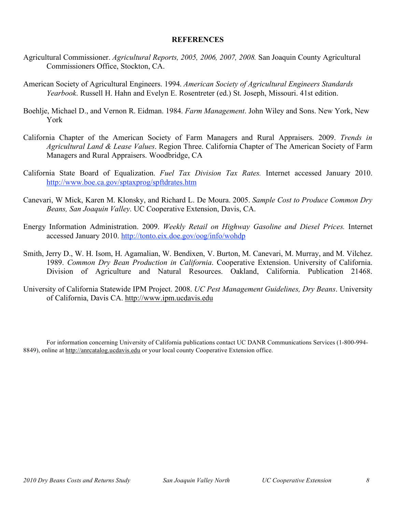## **REFERENCES**

- Agricultural Commissioner. *Agricultural Reports, 2005, 2006, 2007, 2008.* San Joaquin County Agricultural Commissioners Office, Stockton, CA.
- American Society of Agricultural Engineers. 1994. *American Society of Agricultural Engineers Standards Yearbook*. Russell H. Hahn and Evelyn E. Rosentreter (ed.) St. Joseph, Missouri. 41st edition.
- Boehlje, Michael D., and Vernon R. Eidman. 1984. *Farm Management*. John Wiley and Sons. New York, New York
- California Chapter of the American Society of Farm Managers and Rural Appraisers. 2009. *Trends in Agricultural Land & Lease Values*. Region Three. California Chapter of The American Society of Farm Managers and Rural Appraisers. Woodbridge, CA
- California State Board of Equalization. *Fuel Tax Division Tax Rates.* Internet accessed January 2010. http://www.boe.ca.gov/sptaxprog/spftdrates.htm
- Canevari, W Mick, Karen M. Klonsky, and Richard L. De Moura. 2005. *Sample Cost to Produce Common Dry Beans, San Joaquin Valley*. UC Cooperative Extension, Davis, CA.
- Energy Information Administration. 2009. *Weekly Retail on Highway Gasoline and Diesel Prices.* Internet accessed January 2010. http://tonto.eix.doe.gov/oog/info/wohdp
- Smith, Jerry D., W. H. Isom, H. Agamalian, W. Bendixen, V. Burton, M. Canevari, M. Murray, and M. Vilchez. 1989. *Common Dry Bean Production in California*. Cooperative Extension. University of California. Division of Agriculture and Natural Resources. Oakland, California. Publication 21468.
- University of California Statewide IPM Project. 2008. *UC Pest Management Guidelines, Dry Beans*. University of California, Davis CA. http://www.ipm.ucdavis.edu

For information concerning University of California publications contact UC DANR Communications Services (1-800-994- 8849), online at http://anrcatalog.ucdavis.edu or your local county Cooperative Extension office.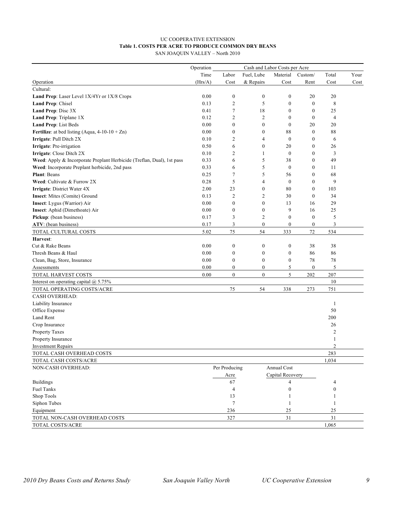## UC COOPERATIVE EXTENSION **Table 1. COSTS PER ACRE TO PRODUCE COMMON DRY BEANS**

SAN JOAQUIN VALLEY – North 2010

|                                                                        | Operation |                  |                  |                  | Cash and Labor Costs per Acre |                  |      |  |
|------------------------------------------------------------------------|-----------|------------------|------------------|------------------|-------------------------------|------------------|------|--|
|                                                                        | Time      | Labor            | Fuel, Lube       | Material         | Custom/                       | Total            | Your |  |
| Operation                                                              | (Hrs/A)   | Cost             | & Repairs        | Cost             | Rent                          | Cost             | Cost |  |
| Cultural:                                                              |           |                  |                  |                  |                               |                  |      |  |
| Land Prep: Laser Level 1X/4Yr or 1X/8 Crops                            | 0.00      | $\boldsymbol{0}$ | $\boldsymbol{0}$ | $\boldsymbol{0}$ | 20                            | 20               |      |  |
| Land Prep: Chisel                                                      | 0.13      | $\overline{2}$   | 5                | $\boldsymbol{0}$ | $\boldsymbol{0}$              | 8                |      |  |
| Land Prep: Disc 3X                                                     | 0.41      | $\tau$           | 18               | $\boldsymbol{0}$ | $\boldsymbol{0}$              | 25               |      |  |
| Land Prep: Triplane 1X                                                 | 0.12      | $\overline{2}$   | $\overline{c}$   | $\boldsymbol{0}$ | $\mathbf{0}$                  | 4                |      |  |
| Land Prep: List Beds                                                   | 0.00      | $\boldsymbol{0}$ | $\boldsymbol{0}$ | $\boldsymbol{0}$ | 20                            | 20               |      |  |
| <b>Fertilize:</b> at bed listing (Aqua, $4-10-10+Zn$ )                 | 0.00      | $\boldsymbol{0}$ | $\boldsymbol{0}$ | 88               | $\mathbf{0}$                  | 88               |      |  |
| Irrigate: Pull Ditch 2X                                                | 0.10      | $\overline{2}$   | 4                | $\mathbf{0}$     | 0                             | 6                |      |  |
| Irrigate: Pre-irrigation                                               | 0.50      | 6                | $\boldsymbol{0}$ | 20               | 0                             | 26               |      |  |
| Irrigate: Close Ditch 2X                                               | 0.10      | $\overline{2}$   | 1                | $\boldsymbol{0}$ | 0                             | 3                |      |  |
| Weed: Apply & Incorporate Preplant Herbicide (Treflan, Dual), 1st pass | 0.33      | 6                | 5                | 38               | $\overline{0}$                | 49               |      |  |
| Weed: Incorporate Preplant herbicide, 2nd pass                         | 0.33      | 6                | 5                | $\boldsymbol{0}$ | 0                             | 11               |      |  |
| <b>Plant: Beans</b>                                                    | 0.25      | $\overline{7}$   | 5                | 56               | $\overline{0}$                | 68               |      |  |
| Weed: Cultivate & Furrow 2X                                            | 0.28      | 5                | $\overline{4}$   | $\boldsymbol{0}$ | $\overline{0}$                | 9                |      |  |
| Irrigate: District Water 4X                                            | 2.00      | 23               | $\boldsymbol{0}$ | 80               | $\boldsymbol{0}$              | 103              |      |  |
| Insect: Mites (Comite) Ground                                          | 0.13      | $\overline{2}$   | 2                | 30               | $\mathbf{0}$                  | 34               |      |  |
| Insect: Lygus (Warrior) Air                                            | 0.00      | $\boldsymbol{0}$ | $\boldsymbol{0}$ | 13               | 16                            | 29               |      |  |
| Insect: Aphid (Dimethoate) Air                                         | 0.00      | $\boldsymbol{0}$ | $\boldsymbol{0}$ | 9                | 16                            | 25               |      |  |
| Pickup: (bean business)                                                | 0.17      | 3                | $\overline{c}$   | $\boldsymbol{0}$ | $\mathbf{0}$                  | 5                |      |  |
| ATV: (bean business)                                                   | 0.17      | 3                | $\boldsymbol{0}$ | $\boldsymbol{0}$ | $\boldsymbol{0}$              | 3                |      |  |
| TOTAL CULTURAL COSTS                                                   | 5.02      | 75               | 54               | 333              | 72                            | 534              |      |  |
| Harvest:                                                               |           |                  |                  |                  |                               |                  |      |  |
| Cut & Rake Beans                                                       | 0.00      | $\boldsymbol{0}$ | $\boldsymbol{0}$ | $\boldsymbol{0}$ | 38                            | 38               |      |  |
| Thresh Beans & Haul                                                    | 0.00      | $\boldsymbol{0}$ | $\boldsymbol{0}$ | $\boldsymbol{0}$ | 86                            | 86               |      |  |
| Clean, Bag, Store, Insurance                                           | 0.00      | $\boldsymbol{0}$ | $\boldsymbol{0}$ | $\boldsymbol{0}$ | 78                            | 78               |      |  |
| Assessments                                                            | 0.00      | $\boldsymbol{0}$ | $\boldsymbol{0}$ | 5                | $\boldsymbol{0}$              | 5                |      |  |
| TOTAL HARVEST COSTS                                                    | 0.00      | $\boldsymbol{0}$ | $\boldsymbol{0}$ | 5                | 202                           | 207              |      |  |
| Interest on operating capital $\omega$ 5.75%                           |           |                  |                  |                  |                               | 10               |      |  |
| TOTAL OPERATING COSTS/ACRE                                             |           | 75               | 54               | 338              | 273                           | 751              |      |  |
| <b>CASH OVERHEAD:</b>                                                  |           |                  |                  |                  |                               |                  |      |  |
| Liability Insurance                                                    |           |                  |                  |                  |                               | $\mathbf{1}$     |      |  |
| Office Expense                                                         |           |                  |                  |                  |                               | 50               |      |  |
| Land Rent                                                              |           |                  |                  |                  |                               | 200              |      |  |
| Crop Insurance                                                         |           |                  |                  |                  |                               | 26               |      |  |
| Property Taxes                                                         |           |                  |                  |                  |                               | $\overline{c}$   |      |  |
| Property Insurance                                                     |           |                  |                  |                  |                               | 1                |      |  |
| <b>Investment Repairs</b>                                              |           |                  |                  |                  |                               | $\overline{2}$   |      |  |
| TOTAL CASH OVERHEAD COSTS                                              |           |                  |                  |                  |                               | 283              |      |  |
| TOTAL CASH COSTS/ACRE                                                  |           |                  |                  |                  |                               | 1,034            |      |  |
| NON-CASH OVERHEAD:                                                     |           | Per Producing    |                  | Annual Cost      |                               |                  |      |  |
|                                                                        |           |                  |                  | Capital Recovery |                               |                  |      |  |
|                                                                        |           | Acre             |                  |                  |                               |                  |      |  |
| <b>Buildings</b>                                                       |           | 67               |                  | 4                |                               | 4                |      |  |
| <b>Fuel Tanks</b>                                                      |           | $\overline{4}$   |                  | $\boldsymbol{0}$ |                               | $\boldsymbol{0}$ |      |  |
| Shop Tools                                                             |           | 13               |                  | 1                |                               | 1                |      |  |
| Siphon Tubes                                                           |           | 7                |                  | 1                |                               | 1                |      |  |
| Equipment                                                              |           | 236              |                  | 25               |                               | $25\,$           |      |  |
| TOTAL NON-CASH OVERHEAD COSTS                                          |           | 327              |                  | $3\sqrt{1}$      |                               | 31               |      |  |
| TOTAL COSTS/ACRE                                                       |           |                  |                  |                  |                               | 1,065            |      |  |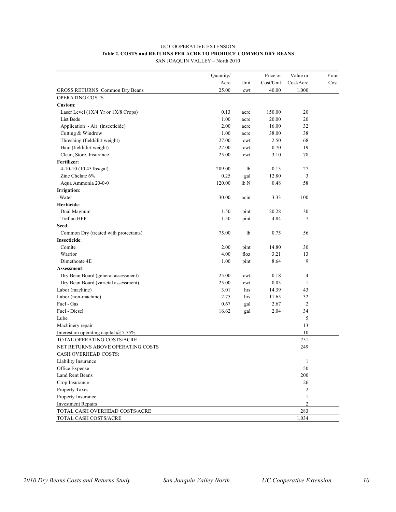## UC COOPERATIVE EXTENSION **Table 2. COSTS and RETURNS PER ACRE TO PRODUCE COMMON DRY BEANS**

| JSTS and KETUKINS FEK AUKE TO FRODUCE COMMON DR |                                 |  |
|-------------------------------------------------|---------------------------------|--|
|                                                 | SAN JOAQUIN VALLEY - North 2010 |  |

|                                              | Quantity/ |            | Price or  | Value or       | Your |
|----------------------------------------------|-----------|------------|-----------|----------------|------|
|                                              | Acre      | Unit       | Cost/Unit | Cost/Acre      | Cost |
| <b>GROSS RETURNS: Common Dry Beans</b>       | 25.00     | cwt        | 40.00     | 1.000          |      |
| OPERATING COSTS                              |           |            |           |                |      |
| Custom:                                      |           |            |           |                |      |
| Laser Level (1X/4 Yr or 1X/8 Crops)          | 0.13      | acre       | 150.00    | 20             |      |
| List Beds                                    | 1.00      | acre       | 20.00     | 20             |      |
| Application - Air (insecticide)              | 2.00      | acre       | 16.00     | 32             |      |
| Cutting & Windrow                            | 1.00      | acre       | 38.00     | 38             |      |
| Threshing (field/dirt weight)                | 27.00     | cwt        | 2.50      | 68             |      |
| Haul (field/dirt weight)                     | 27.00     | cwt        | 0.70      | 19             |      |
| Clean, Store, Insurance                      | 25.00     | cwt        | 3.10      | 78             |      |
| Fertilizer:                                  |           |            |           |                |      |
| 4-10-10 (10.45 lbs/gal)                      | 209.00    | 1b         | 0.13      | 27             |      |
| Zinc Chelate 6%                              | 0.25      | gal        | 12.80     | 3              |      |
| Aqua Ammonia 20-0-0                          | 120.00    | lb N       | 0.48      | 58             |      |
| Irrigation:                                  |           |            |           |                |      |
| Water                                        | 30.00     | acin       | 3.33      | 100            |      |
| Herbicide:                                   |           |            |           |                |      |
| Dual Magnum                                  | 1.50      | pint       | 20.28     | 30             |      |
| Treflan HFP                                  | 1.50      | pint       | 4.84      | 7              |      |
| Seed:                                        |           |            |           |                |      |
| Common Dry (treated with protectants)        | 75.00     | 1b         | 0.75      | 56             |      |
| Insecticide:                                 |           |            |           |                |      |
| Comite                                       | 2.00      | pint       | 14.80     | 30             |      |
| Warrior                                      | 4.00      | floz       | 3.21      | 13             |      |
| Dimethoate 4E                                | 1.00      | pint       | 8.64      | 9              |      |
| Assessment:                                  |           |            |           |                |      |
| Dry Bean Board (general assessment)          | 25.00     | cwt        | 0.18      | 4              |      |
| Dry Bean Board (varietal assessment)         | 25.00     | cwt        | 0.03      | 1              |      |
| Labor (machine)                              | 3.01      | hrs        | 14.39     | 43             |      |
| Labor (non-machine)                          | 2.75      | hrs        | 11.65     | 32             |      |
| Fuel - Gas                                   | 0.67      |            | 2.67      | $\overline{2}$ |      |
| Fuel - Diesel                                | 16.62     | gal<br>gal | 2.04      | 34             |      |
| Lube                                         |           |            |           | 5              |      |
|                                              |           |            |           | 13             |      |
| Machinery repair                             |           |            |           |                |      |
| Interest on operating capital $\omega$ 5.75% |           |            |           | 10             |      |
| TOTAL OPERATING COSTS/ACRE                   |           |            |           | 751            |      |
| NET RETURNS ABOVE OPERATING COSTS            |           |            |           | 249            |      |
| <b>CASH OVERHEAD COSTS:</b>                  |           |            |           |                |      |
| Liability Insurance                          |           |            |           | $\mathbf{1}$   |      |
| Office Expense                               |           |            |           | 50             |      |
| <b>Land Rent Beans</b>                       |           |            |           | 200            |      |
| Crop Insurance                               |           |            |           | 26             |      |
| Property Taxes                               |           |            |           | 2              |      |
| Property Insurance                           |           |            |           | 1              |      |
| <b>Investment Repairs</b>                    |           |            |           | $\mathfrak{2}$ |      |
| TOTAL CASH OVERHEAD COSTS/ACRE               |           |            |           | 283            |      |
| TOTAL CASH COSTS/ACRE                        |           |            |           | 1,034          |      |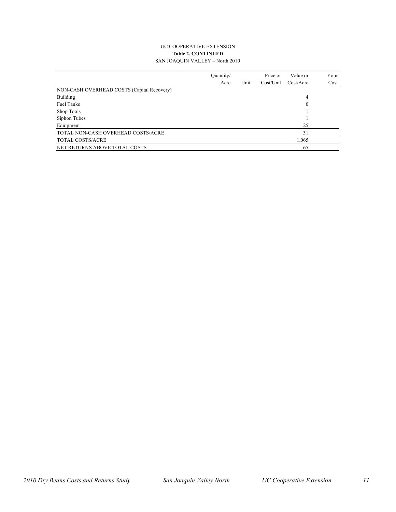#### UC COOPERATIVE EXTENSION **Table 2. CONTINUED** SAN JOAQUIN VALLEY – North 2010

|                                            | Quantity/ |      | Price or  | Value or  | Your |
|--------------------------------------------|-----------|------|-----------|-----------|------|
|                                            | Acre      | Unit | Cost/Unit | Cost/Accr | Cost |
| NON-CASH OVERHEAD COSTS (Capital Recovery) |           |      |           |           |      |
| Building                                   |           |      |           | 4         |      |
| <b>Fuel Tanks</b>                          |           |      |           | 0         |      |
| Shop Tools                                 |           |      |           |           |      |
| Siphon Tubes                               |           |      |           |           |      |
| Equipment                                  |           |      |           | 25        |      |
| TOTAL NON-CASH OVERHEAD COSTS/ACRE         |           |      |           | 31        |      |
| TOTAL COSTS/ACRE                           |           |      |           | 1,065     |      |
| NET RETURNS ABOVE TOTAL COSTS              |           |      |           | -65       |      |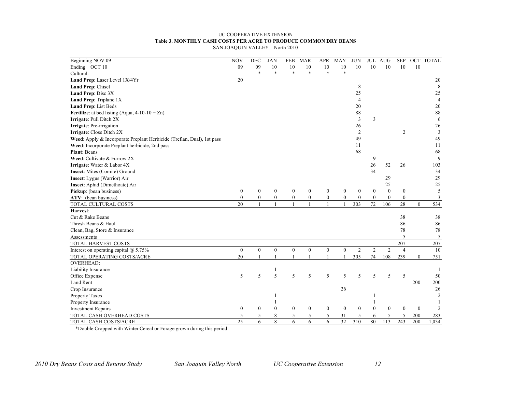#### UC COOPERATIVE EXTENSION **Table 3. MONTHLY CASH COSTS PER ACRE TO PRODUCE COMMON DRY BEANS** SAN JOAQUIN VALLEY – North 2010

| Beginning NOV 09                                       | <b>NOV</b> | DEC | JAN | FEB. | MAR |    | APR MAY | <b>JUN</b> |    | JUL AUG |    |    | SEP OCT TOTAL  |
|--------------------------------------------------------|------------|-----|-----|------|-----|----|---------|------------|----|---------|----|----|----------------|
| Ending OCT 10                                          | 09         | 09  | 10  | 10   | 10  | 10 | 10      | 10         | 10 | 10      | 10 | 10 |                |
| Cultural:                                              |            |     |     |      | *   |    |         |            |    |         |    |    |                |
| Land Prep: Laser Level 1X/4Yr                          | 20         |     |     |      |     |    |         |            |    |         |    |    | 20             |
| <b>Land Prep:</b> Chisel                               |            |     |     |      |     |    |         |            |    |         |    |    | 8              |
| <b>Land Prep:</b> Disc 3X                              |            |     |     |      |     |    |         | 25         |    |         |    |    | 25             |
| <b>Land Prep:</b> Triplane 1X                          |            |     |     |      |     |    |         |            |    |         |    |    | $\overline{4}$ |
| <b>Land Prep:</b> List Beds                            |            |     |     |      |     |    |         | 20         |    |         |    |    | 20             |
| <b>Fertilize:</b> at bed listing (Aqua. $4-10-10+Zn$ ) |            |     |     |      |     |    |         | 88         |    |         |    |    | 88             |

**Irrigate**: Pull Ditch 2X 3 3 6 **Irrigate**: Pre-irrigation 26 26 **Irrigate**: Close Ditch 2X 2 3 **Weed**: Apply & Incorporate Preplant Herbicide (Treflan, Dual), 1st pass 49 49 49 49 **Weed**: Incorporate Preplant herbicide, 2nd pass 11 11 **Plant**: Beans 68 68 **Weed**: Cultivate & Furrow 2X 9 9 **Irrigate**: Water & Labor 4X 26 52 26 103 **Insect**: Mites (Comite) Ground 34 34 34 **Insect**: Lygus (Warrior) Air 29 29 **Insect**: Aphid (Dimethoate) Air 25 25 **Pickup**: (bean business) 0 0 0 0 0 0 0 0 0 0 0 0 0 5 **ATV**: (bean business) **and a set of the contract of the contract of the contract of the contract of the contract of the contract of the contract of the contract of the contract of the contract of the contract of the contr** TOTAL CULTURAL COSTS 20 1 1 1 1 1 1 303 72 106 28 0 534

Cut & Rake Beans 38 38 38 Thresh Beans & Haul 86 86 Clean, Bag, Store & Insurance 78 78 78 Assessments 5 5 5 5 5 5 5 5 6 7 1 1 2 2 3 4 5 7 2 3 4 3 3 4 3 4 5 7 3 3 4 3 3 4 5 7 3 4 5 3 4 5 3 4 5 7 3 4 7 3 4 7 3 4 7 3 4 7 3 4 7 3 4 7 3 4 7 3 4 7 3 4 7 3 4 7 3 4 7 3 4 7 3 4 7 3 4 7 3 4 7 3 4 7 3 4 7 3 4 7 3 4 7 3 4 TOTAL HARVEST COSTS 207 207 Interest on operating capital  $@$  5.75% 0 0 0 0 0 0 0 0 0 0 2 2 4 10 TOTAL OPERATING COSTS/ACRE 20 1 1 1 1 1 1 305 74 108 239 0 751

Liability Insurance 1 and 1 1 and 1 1 and 1 and 1 and 1 and 1 and 1 and 1 and 1 and 1 and 1 and 1 and 1 and 1 and 1 and 1 and 1 and 1 and 1 and 1 and 1 and 1 and 1 and 1 and 1 and 1 and 1 and 1 and 1 and 1 and 1 and 1 and Office Expense 5 5 5 5 5 5 5 5 5 5 5 50 Land Rent 200 200 Crop Insurance 26 26 Property Taxes  $\frac{1}{2}$ Property Insurance 1 1 1 Investment Repairs 0 0 0 0 0 0 0 0 0 0 0 0 2 TOTAL CASH OVERHEAD COSTS <br>
TOTAL CASH COSTS/ACRE <br>
25 6 8 6 6 6 32 310 80 113 243 200 1,034<br>
101AL CASH COSTS/ACRE TOTAL CASH COSTS/ACRE 25 6 8 6 6 6 32 310 80 113 243 200 1,034

\*Double Cropped with Winter Cereal or Forage grown during this period

**Harvest**:

OVERHEAD: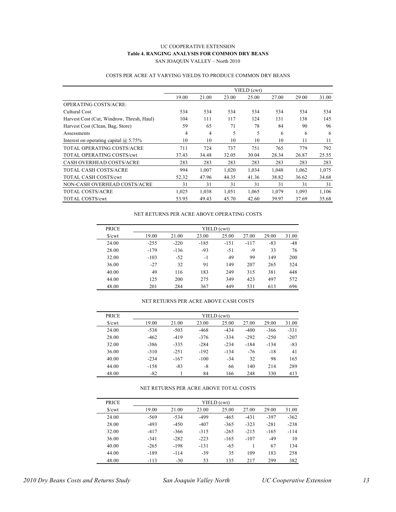#### UC COOPERATIVE EXTENSION **Table 4. RANGING ANALYSIS FOR COMMON DRY BEANS** SAN JOAQUIN VALLEY – North 2010

|                                              |       |                |       | YIELD (cwt) |       |       |       |
|----------------------------------------------|-------|----------------|-------|-------------|-------|-------|-------|
|                                              | 19.00 | 21.00          | 23.00 | 25.00       | 27.00 | 29.00 | 31.00 |
| OPERATING COSTS/ACRE:                        |       |                |       |             |       |       |       |
| Cultural Cost                                | 534   | 534            | 534   | 534         | 534   | 534   | 534   |
| Harvest Cost (Cut, Windrow, Thresh, Haul)    | 104   | 111            | 117   | 124         | 131   | 138   | 145   |
| Harvest Cost (Clean, Bag, Store)             | 59    | 65             | 71    | 78          | 84    | 90    | 96    |
| Assessments                                  | 4     | $\overline{4}$ | 5     | 5           | 6     | 6     | 6     |
| Interest on operating capital $\omega$ 5.75% | 10    | 10             | 10    | 10          | 10    | 11    | 11    |
| TOTAL OPERATING COSTS/ACRE                   | 711   | 724            | 737   | 751         | 765   | 779   | 792   |
| <b>TOTAL OPERATING COSTS/cwt</b>             | 37.43 | 34.48          | 32.05 | 30.04       | 28.34 | 26.87 | 25.55 |
| <b>CASH OVERHEAD COSTS/ACRE</b>              | 283   | 283            | 283   | 283         | 283   | 283   | 283   |
| TOTAL CASH COSTS/ACRE                        | 994   | 1,007          | 1,020 | 1,034       | 1,048 | 1,062 | 1,075 |
| <b>TOTAL CASH COSTS/cwt</b>                  | 52.32 | 47.96          | 44.35 | 41.36       | 38.82 | 36.62 | 34.68 |
| NON-CASH OVERHEAD COSTS/ACRE                 | 31    | 31             | 31    | 31          | 31    | 31    | 31    |
| <b>TOTAL COSTS/ACRE</b>                      | 1,025 | 1,038          | 1,051 | 1,065       | 1,079 | 1,093 | 1,106 |
| <b>TOTAL COSTS/cwt</b>                       | 53.95 | 49.43          | 45.70 | 42.60       | 39.97 | 37.69 | 35.68 |

### COSTS PER ACRE AT VARYING YIELDS TO PRODUCE COMMON DRY BEANS

#### NET RETURNS PER ACRE ABOVE OPERATING COSTS

| <b>PRICE</b> | YIELD (cwt) |        |        |        |        |       |       |  |  |  |  |
|--------------|-------------|--------|--------|--------|--------|-------|-------|--|--|--|--|
| S/cwt        | 19.00       | 21.00  | 23.00  | 25.00  | 27.00  | 29.00 | 31.00 |  |  |  |  |
| 24.00        | $-255$      | $-220$ | $-185$ | $-151$ | $-117$ | $-83$ | $-48$ |  |  |  |  |
| 28.00        | $-179$      | $-136$ | $-93$  | $-51$  | -9     | 33    | 76    |  |  |  |  |
| 32.00        | $-103$      | $-52$  | $-1$   | 49     | 99     | 149   | 200   |  |  |  |  |
| 36.00        | $-27$       | 32     | 91     | 149    | 207    | 265   | 324   |  |  |  |  |
| 40.00        | 49          | 116    | 183    | 249    | 315    | 381   | 448   |  |  |  |  |
| 44.00        | 125         | 200    | 275    | 349    | 423    | 497   | 572   |  |  |  |  |
| 48.00        | 201         | 284    | 367    | 449    | 531    | 613   | 696   |  |  |  |  |

### NET RETURNS PER ACRE ABOVE CASH COSTS

| <b>PRICE</b> | YIELD (cwt) |        |        |        |        |        |        |  |  |  |  |
|--------------|-------------|--------|--------|--------|--------|--------|--------|--|--|--|--|
| S/cwt        | 19.00       | 21.00  | 23.00  | 25.00  | 27.00  | 29.00  | 31.00  |  |  |  |  |
| 24.00        | $-538$      | $-503$ | $-468$ | $-434$ | $-400$ | $-366$ | $-331$ |  |  |  |  |
| 28.00        | $-462$      | $-419$ | $-376$ | $-334$ | $-292$ | $-250$ | $-207$ |  |  |  |  |
| 32.00        | $-386$      | $-335$ | $-284$ | $-234$ | $-184$ | $-134$ | $-83$  |  |  |  |  |
| 36.00        | $-310$      | $-251$ | $-192$ | $-134$ | $-76$  | $-18$  | 41     |  |  |  |  |
| 40.00        | $-234$      | $-167$ | $-100$ | $-34$  | 32     | 98     | 165    |  |  |  |  |
| 44.00        | $-158$      | $-83$  | -8     | 66     | 140    | 214    | 289    |  |  |  |  |
| 48.00        | $-82$       |        | 84     | 166    | 248    | 330    | 413    |  |  |  |  |

#### NET RETURNS PER ACRE ABOVE TOTAL COSTS

| <b>PRICE</b> |        |        |        | YIELD (cwt) |        |        |        |
|--------------|--------|--------|--------|-------------|--------|--------|--------|
| S/cwt        | 19.00  | 21.00  | 23.00  | 25.00       | 27.00  | 29.00  | 31.00  |
| 24.00        | $-569$ | $-534$ | -499   | $-465$      | $-431$ | $-397$ | $-362$ |
| 28.00        | $-493$ | $-450$ | $-407$ | $-365$      | $-323$ | $-281$ | $-238$ |
| 32.00        | $-417$ | $-366$ | $-315$ | $-265$      | $-215$ | $-165$ | $-114$ |
| 36.00        | $-341$ | $-282$ | $-223$ | $-165$      | $-107$ | $-49$  | 10     |
| 40.00        | $-265$ | $-198$ | $-131$ | $-65$       |        | 67     | 134    |
| 44.00        | $-189$ | $-114$ | $-39$  | 35          | 109    | 183    | 258    |
| 48.00        | $-113$ | $-30$  | 53     | 135         | 217    | 299    | 382    |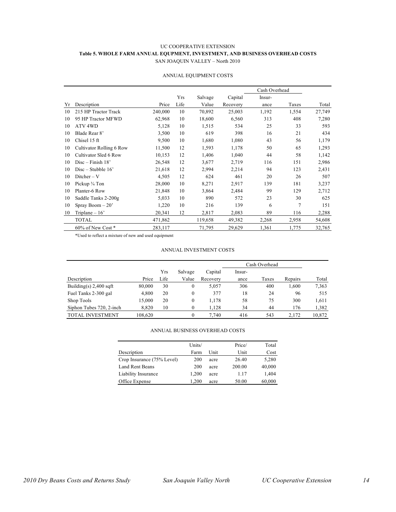### UC COOPERATIVE EXTENSION **Table 5. WHOLE FARM ANNUAL EQUPMENT, INVESTMENT, AND BUSINESS OVERHEAD COSTS** SAN JOAQUIN VALLEY – North 2010

|    |                          |         |      |         |          | Cash Overhead |                |        |
|----|--------------------------|---------|------|---------|----------|---------------|----------------|--------|
|    |                          |         | Yrs  | Salvage | Capital  | Insur-        |                |        |
| Yr | Description              | Price   | Life | Value   | Recovery | ance          | Taxes          | Total  |
| 10 | 215 HP Tractor Track     | 240,000 | 10   | 70,892  | 25,003   | 1,192         | 1,554          | 27,749 |
| 10 | 95 HP Tractor MFWD       | 62,968  | 10   | 18,600  | 6,560    | 313           | 408            | 7,280  |
| 10 | ATV 4WD                  | 5,128   | 10   | 1,515   | 534      | 25            | 33             | 593    |
| 10 | Blade Rear 8'            | 3,500   | 10   | 619     | 398      | 16            | 21             | 434    |
| 10 | Chisel 15 ft             | 9,500   | 10   | 1,680   | 1,080    | 43            | 56             | 1,179  |
| 10 | Cultivator Rolling 6 Row | 11,500  | 12   | 1,593   | 1,178    | 50            | 65             | 1,293  |
| 10 | Cultivator Sled 6 Row    | 10,153  | 12   | 1,406   | 1,040    | 44            | 58             | 1,142  |
| 10 | $Disc-Finish 18'$        | 26,548  | 12   | 3,677   | 2,719    | 116           | 151            | 2,986  |
| 10 | $Disc - Stubble 16'$     | 21,618  | 12   | 2,994   | 2,214    | 94            | 123            | 2,431  |
| 10 | $Dither-V$               | 4,505   | 12   | 624     | 461      | 20            | 26             | 507    |
| 10 | Pickup 3/4 Ton           | 28,000  | 10   | 8,271   | 2,917    | 139           | 181            | 3,237  |
| 10 | Planter-6 Row            | 21,848  | 10   | 3,864   | 2,484    | 99            | 129            | 2,712  |
| 10 | Saddle Tanks 2-200g      | 5,033   | 10   | 890     | 572      | 23            | 30             | 625    |
| 10 | Spray Boom $-20$ '       | 1,220   | 10   | 216     | 139      | 6             | $\overline{7}$ | 151    |
| 10 | Triplane $-16$           | 20,341  | 12   | 2,817   | 2,083    | 89            | 116            | 2,288  |
|    | <b>TOTAL</b>             | 471,862 |      | 119,658 | 49,382   | 2,268         | 2,958          | 54,608 |
|    | 60% of New Cost *        | 283,117 |      | 71,795  | 29,629   | 1,361         | 1,775          | 32,765 |

### ANNUAL EQUIPMENT COSTS

\*Used to reflect a mixture of new and used equipment

#### ANNUAL INVESTMENT COSTS

|                          |         |      |          |          | Cash Overhead |       |         |        |
|--------------------------|---------|------|----------|----------|---------------|-------|---------|--------|
|                          |         | Yrs  | Salvage  | Capital  | Insur-        |       |         |        |
| Description              | Price   | Life | Value    | Recovery | ance          | Taxes | Repairs | Total  |
| Building(s) $2,400$ sqft | 80,000  | 30   | 0        | 5.057    | 306           | 400   | 1,600   | 7,363  |
| Fuel Tanks 2-300 gal     | 4,800   | 20   | 0        | 377      | 18            | 24    | 96      | 515    |
| Shop Tools               | 15.000  | 20   | 0        | 1,178    | 58            | 75    | 300     | 1,611  |
| Siphon Tubes 720, 2-inch | 8,820   | 10   | 0        | 1.128    | 34            | 44    | 176     | 1,382  |
| TOTAL INVESTMENT         | 108,620 |      | $\theta$ | 7.740    | 416           | 543   | 2,172   | 10,872 |

#### ANNUAL BUSINESS OVERHEAD COSTS

|                            | Units/ |      | Price/ | Total  |
|----------------------------|--------|------|--------|--------|
| Description                | Farm   | Unit | Unit   | Cost   |
| Crop Insurance (75% Level) | 200    | acre | 26.40  | 5,280  |
| Land Rent Beans            | 200    | acre | 200.00 | 40,000 |
| Liability Insurance        | 1,200  | acre | 1.17   | 1,404  |
| Office Expense             | 1,200  | acre | 50.00  | 60,000 |
|                            |        |      |        |        |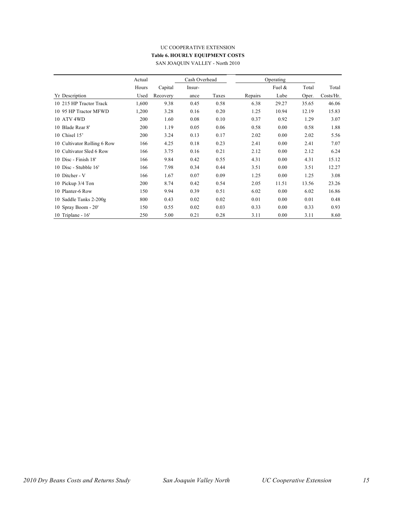## UC COOPERATIVE EXTENSION **Table 6. HOURLY EQUIPMENT COSTS**

|                             | Actual |          | Cash Overhead |       |         | Operating |       |           |
|-----------------------------|--------|----------|---------------|-------|---------|-----------|-------|-----------|
|                             | Hours  | Capital  | Insur-        |       |         | Fuel $\&$ | Total | Total     |
| Yr Description              | Used   | Recovery | ance          | Taxes | Repairs | Lube      | Oper. | Costs/Hr. |
| 10 215 HP Tractor Track     | 1,600  | 9.38     | 0.45          | 0.58  | 6.38    | 29.27     | 35.65 | 46.06     |
| 10 95 HP Tractor MFWD       | 1,200  | 3.28     | 0.16          | 0.20  | 1.25    | 10.94     | 12.19 | 15.83     |
| 10 ATV 4WD                  | 200    | 1.60     | 0.08          | 0.10  | 0.37    | 0.92      | 1.29  | 3.07      |
| 10 Blade Rear 8'            | 200    | 1.19     | 0.05          | 0.06  | 0.58    | 0.00      | 0.58  | 1.88      |
| 10 Chisel 15'               | 200    | 3.24     | 0.13          | 0.17  | 2.02    | 0.00      | 2.02  | 5.56      |
| 10 Cultivator Rolling 6 Row | 166    | 4.25     | 0.18          | 0.23  | 2.41    | 0.00      | 2.41  | 7.07      |
| 10 Cultivator Sled 6 Row    | 166    | 3.75     | 0.16          | 0.21  | 2.12    | 0.00      | 2.12  | 6.24      |
| 10 Disc - Finish 18'        | 166    | 9.84     | 0.42          | 0.55  | 4.31    | 0.00      | 4.31  | 15.12     |
| 10 Disc - Stubble 16'       | 166    | 7.98     | 0.34          | 0.44  | 3.51    | 0.00      | 3.51  | 12.27     |
| 10 Ditcher - V              | 166    | 1.67     | 0.07          | 0.09  | 1.25    | 0.00      | 1.25  | 3.08      |
| 10 Pickup 3/4 Ton           | 200    | 8.74     | 0.42          | 0.54  | 2.05    | 11.51     | 13.56 | 23.26     |
| 10 Planter-6 Row            | 150    | 9.94     | 0.39          | 0.51  | 6.02    | 0.00      | 6.02  | 16.86     |
| 10 Saddle Tanks 2-200g      | 800    | 0.43     | 0.02          | 0.02  | 0.01    | 0.00      | 0.01  | 0.48      |
| 10 Spray Boom - 20'         | 150    | 0.55     | 0.02          | 0.03  | 0.33    | 0.00      | 0.33  | 0.93      |
| 10 Triplane - $16'$         | 250    | 5.00     | 0.21          | 0.28  | 3.11    | 0.00      | 3.11  | 8.60      |

SAN JOAQUIN VALLEY - North 2010